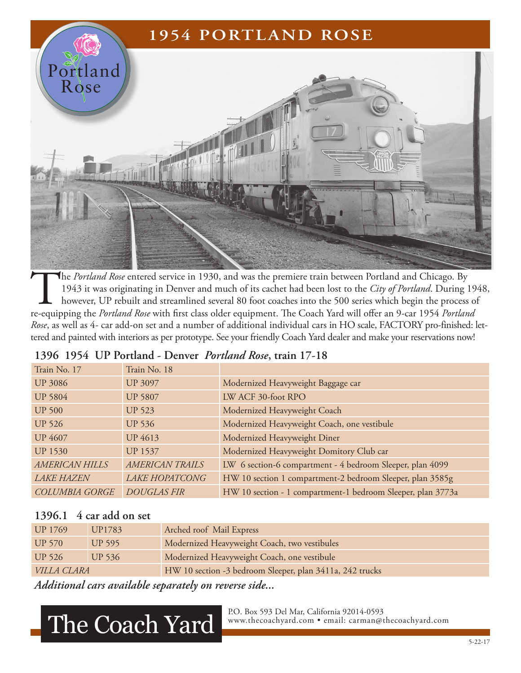# **1954 PORTLAND ROSE** ortland Rose

The *Portland Rose* entered service in 1930, and was the premiere train between Portland and Chicago. By<br>1943 it was originating in Denver and much of its cachet had been lost to the *City of Portland*. During 1<br>however, U 1943 it was originating in Denver and much of its cachet had been lost to the *City of Portland*. During 1948, however, UP rebuilt and streamlined several 80 foot coaches into the 500 series which begin the process of re-equipping the *Portland Rose* with first class older equipment. The Coach Yard will offer an 9-car 1954 *Portland Rose*, as well as 4- car add-on set and a number of additional individual cars in HO scale, FACTORY pro-finished: lettered and painted with interiors as per prototype. See your friendly Coach Yard dealer and make your reservations now!

| Train No. 17          | Train No. 18           |                                                             |
|-----------------------|------------------------|-------------------------------------------------------------|
| <b>UP 3086</b>        | <b>UP 3097</b>         | Modernized Heavyweight Baggage car                          |
| <b>UP 5804</b>        | <b>UP 5807</b>         | LW ACF 30-foot RPO                                          |
| <b>UP 500</b>         | <b>UP 523</b>          | Modernized Heavyweight Coach                                |
| <b>UP 526</b>         | <b>UP 536</b>          | Modernized Heavyweight Coach, one vestibule                 |
| <b>UP 4607</b>        | <b>UP 4613</b>         | Modernized Heavyweight Diner                                |
| <b>UP 1530</b>        | <b>UP 1537</b>         | Modernized Heavyweight Domitory Club car                    |
| <b>AMERICAN HILLS</b> | <b>AMERICAN TRAILS</b> | LW 6 section-6 compartment - 4 bedroom Sleeper, plan 4099   |
| <b>LAKE HAZEN</b>     | <b>LAKE HOPATCONG</b>  | HW 10 section 1 compartment-2 bedroom Sleeper, plan 3585g   |
| <b>COLUMBIA GORGE</b> | <b>DOUGLAS FIR</b>     | HW 10 section - 1 compartment-1 bedroom Sleeper, plan 3773a |

#### **1396 1954 UP Portland - Denver** *Portland Rose***, train 17-18**

#### **1396.1 4 car add on set**

| <b>UP 1769</b>     | UP1783 | Arched roof Mail Express                                 |
|--------------------|--------|----------------------------------------------------------|
| <b>UP 570</b>      | UP 595 | Modernized Heavyweight Coach, two vestibules             |
| <b>UP 526</b>      | UP 536 | Modernized Heavyweight Coach, one vestibule              |
| <i>VILLA CLARA</i> |        | HW 10 section -3 bedroom Sleeper, plan 3411a, 242 trucks |
|                    |        |                                                          |

*Additional cars available separately on reverse side...*

## The Coach Yard.

P.O. Box 593 Del Mar, California 92014-0593<br>www.thecoachyard.com • email: carman@thecoachyard.com